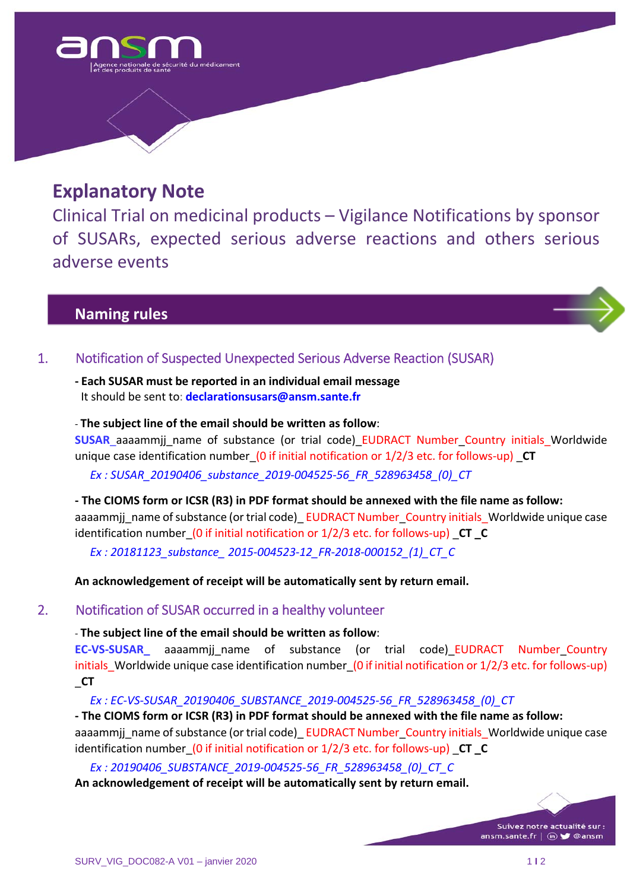

# **Explanatory Note**

Clinical Trial on medicinal products – Vigilance Notifications by sponsor of SUSARs, expected serious adverse reactions and others serious adverse events

# **Naming rules**



**‐ Each SUSAR must be reported in an individual email message** It should be sent to: **declarationsusars@ansm.sante.fr**

#### ‐ **The subject line of the email should be written as follow**:

**SUSAR** aaaammjj\_name of substance (or trial code) EUDRACT Number Country initials Worldwide unique case identification number (0 if initial notification or  $1/2/3$  etc. for follows-up) **CT** 

*Ex : SUSAR\_20190406\_substance\_2019‐004525‐56\_FR\_528963458\_(0)\_CT*

- The CIOMS form or ICSR (R3) in PDF format should be annexed with the file name as follow: aaaammij\_name of substance (or trial code)\_ EUDRACT Number\_Country initials\_Worldwide unique case identification number\_(0 if initial notification or 1/2/3 etc. for follows‐up) \_**CT \_C**

*Ex : 20181123\_substance\_ 2015‐004523‐12\_FR‐2018‐000152\_(1)\_CT\_C*

**An acknowledgement of receipt will be automatically sent by return email.**

## 2. Notification of SUSAR occurred in a healthy volunteer

## ‐ **The subject line of the email should be written as follow**:

**EC-VS-SUSAR\_** aaaammjj\_name of substance (or trial code)\_EUDRACT Number\_Country initials Worldwide unique case identification number (0 if initial notification or 1/2/3 etc. for follows-up) \_**CT**

*Ex : EC‐VS‐SUSAR\_20190406\_SUBSTANCE\_2019‐004525‐56\_FR\_528963458\_(0)\_CT*

- The CIOMS form or ICSR (R3) in PDF format should be annexed with the file name as follow: aaaammjj\_name of substance (or trial code) EUDRACT Number\_Country initials\_Worldwide unique case identification number\_(0 if initial notification or 1/2/3 etc. for follows‐up) \_**CT \_C**

*Ex : 20190406\_SUBSTANCE\_2019‐004525‐56\_FR\_528963458\_(0)\_CT\_C*

**An acknowledgement of receipt will be automatically sent by return email.**

Suivez notre actualité sur : ansm.sante.fr | (iii) so @ansm